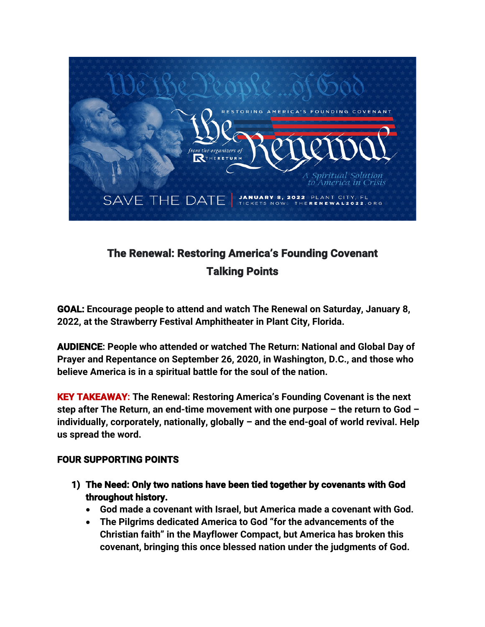

## **The Renewal: Restoring America's Founding Covenant Talking Points**

**GOAL: Encourage people to attend and watch The Renewal on Saturday, January 8, 2022, at the Strawberry Festival Amphitheater in Plant City, Florida.** 

**AUDIENCE: People who attended or watched The Return: National and Global Day of Prayer and Repentance on September 26, 2020, in Washington, D.C., and those who believe America is in a spiritual battle for the soul of the nation.**

**KEY TAKEAWAY: The Renewal: Restoring America's Founding Covenant is the next step after The Return, an end-time movement with one purpose – the return to God – individually, corporately, nationally, globally – and the end-goal of world revival. Help us spread the word.** 

## **FOUR SUPPORTING POINTS**

- **1) The Need: Only two nations have been tied together by covenants with God throughout history.** 
	- **God made a covenant with Israel, but America made a covenant with God.**
	- **The Pilgrims dedicated America to God "for the advancements of the Christian faith" in the Mayflower Compact, but America has broken this covenant, bringing this once blessed nation under the judgments of God.**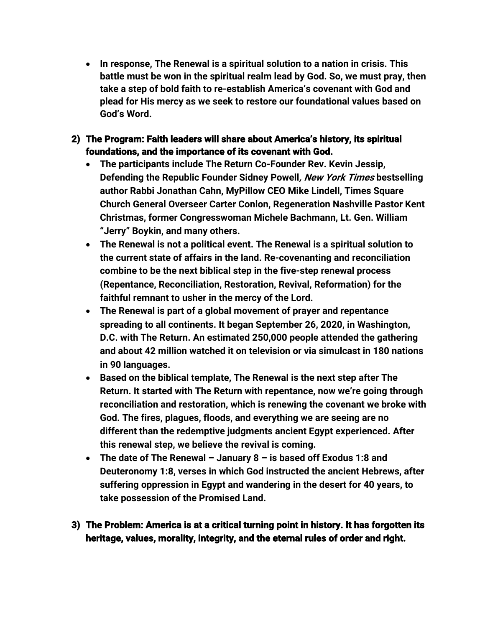- **In response, The Renewal is a spiritual solution to a nation in crisis. This battle must be won in the spiritual realm lead by God. So, we must pray, then take a step of bold faith to re-establish America's covenant with God and plead for His mercy as we seek to restore our foundational values based on God's Word.**
- **2) The Program: Faith leaders will share about America's history, its spiritual foundations, and the importance of its covenant with God.** 
	- **The participants include The Return Co-Founder Rev. Kevin Jessip, Defending the Republic Founder Sidney Powell, New York Times bestselling author Rabbi Jonathan Cahn, MyPillow CEO Mike Lindell, Times Square Church General Overseer Carter Conlon, Regeneration Nashville Pastor Kent Christmas, former Congresswoman Michele Bachmann, Lt. Gen. William "Jerry" Boykin, and many others.**
	- **The Renewal is not a political event. The Renewal is a spiritual solution to the current state of affairs in the land. Re-covenanting and reconciliation combine to be the next biblical step in the five-step renewal process (Repentance, Reconciliation, Restoration, Revival, Reformation) for the faithful remnant to usher in the mercy of the Lord.**
	- **The Renewal is part of a global movement of prayer and repentance spreading to all continents. It began September 26, 2020, in Washington, D.C. with The Return. An estimated 250,000 people attended the gathering and about 42 million watched it on television or via simulcast in 180 nations in 90 languages.**
	- **Based on the biblical template, The Renewal is the next step after The Return. It started with The Return with repentance, now we're going through reconciliation and restoration, which is renewing the covenant we broke with God. The fires, plagues, floods, and everything we are seeing are no different than the redemptive judgments ancient Egypt experienced. After this renewal step, we believe the revival is coming.**
	- **The date of The Renewal – January 8 – is based off Exodus 1:8 and Deuteronomy 1:8, verses in which God instructed the ancient Hebrews, after suffering oppression in Egypt and wandering in the desert for 40 years, to take possession of the Promised Land.**
- **3) The Problem: America is at a critical turning point in history. It has forgotten its heritage, values, morality, integrity, and the eternal rules of order and right.**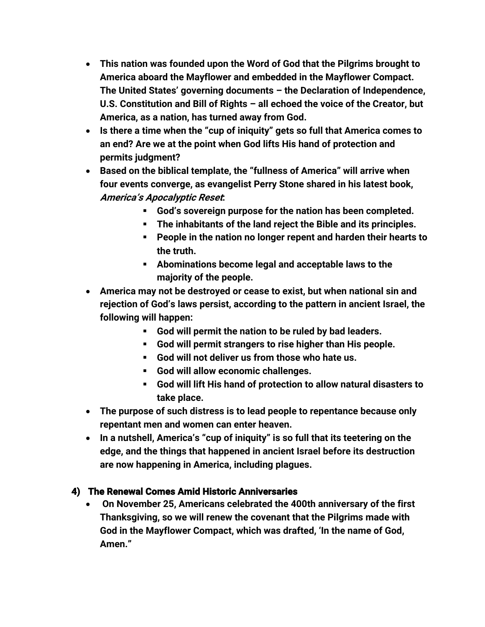- **This nation was founded upon the Word of God that the Pilgrims brought to America aboard the Mayflower and embedded in the Mayflower Compact. The United States' governing documents – the Declaration of Independence, U.S. Constitution and Bill of Rights – all echoed the voice of the Creator, but America, as a nation, has turned away from God.**
- **Is there a time when the "cup of iniquity" gets so full that America comes to an end? Are we at the point when God lifts His hand of protection and permits judgment?**
- **Based on the biblical template, the "fullness of America" will arrive when four events converge, as evangelist Perry Stone shared in his latest book, America's Apocalyptic Reset:**
	- § **God's sovereign purpose for the nation has been completed.**
	- § **The inhabitants of the land reject the Bible and its principles.**
	- § **People in the nation no longer repent and harden their hearts to the truth.**
	- § **Abominations become legal and acceptable laws to the majority of the people.**
- **America may not be destroyed or cease to exist, but when national sin and rejection of God's laws persist, according to the pattern in ancient Israel, the following will happen:**
	- § **God will permit the nation to be ruled by bad leaders.**
	- § **God will permit strangers to rise higher than His people.**
	- § **God will not deliver us from those who hate us.**
	- § **God will allow economic challenges.**
	- § **God will lift His hand of protection to allow natural disasters to take place.**
- **The purpose of such distress is to lead people to repentance because only repentant men and women can enter heaven.**
- **In a nutshell, America's "cup of iniquity" is so full that its teetering on the edge, and the things that happened in ancient Israel before its destruction are now happening in America, including plagues.**

## **4) The Renewal Comes Amid Historic Anniversaries**

• **On November 25, Americans celebrated the 400th anniversary of the first Thanksgiving, so we will renew the covenant that the Pilgrims made with God in the Mayflower Compact, which was drafted, 'In the name of God, Amen."**